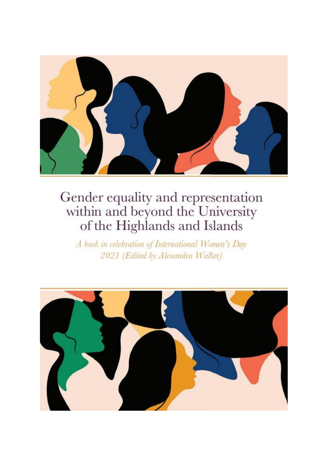

A book in celebration of International Women's Day 2021 (Edited by Alexandra Walker)

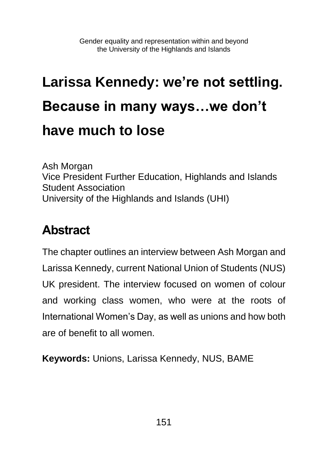# **Larissa Kennedy: we're not settling. Because in many ways…we don't have much to lose**

Ash Morgan Vice President Further Education, Highlands and Islands Student Association University of the Highlands and Islands (UHI)

### **Abstract**

The chapter outlines an interview between Ash Morgan and Larissa Kennedy, current National Union of Students (NUS) UK president. The interview focused on women of colour and working class women, who were at the roots of International Women's Day, as well as unions and how both are of benefit to all women.

**Keywords:** Unions, Larissa Kennedy, NUS, BAME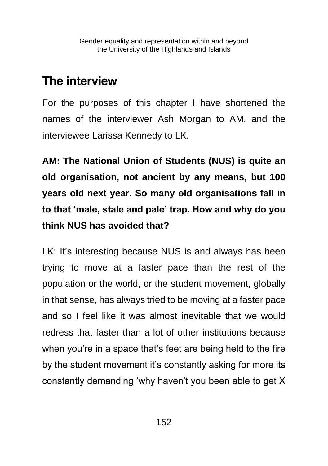#### **The interview**

For the purposes of this chapter I have shortened the names of the interviewer Ash Morgan to AM, and the interviewee Larissa Kennedy to LK.

**AM: The National Union of Students (NUS) is quite an old organisation, not ancient by any means, but 100 years old next year. So many old organisations fall in to that 'male, stale and pale' trap. How and why do you think NUS has avoided that?**

LK: It's interesting because NUS is and always has been trying to move at a faster pace than the rest of the population or the world, or the student movement, globally in that sense, has always tried to be moving at a faster pace and so I feel like it was almost inevitable that we would redress that faster than a lot of other institutions because when you're in a space that's feet are being held to the fire by the student movement it's constantly asking for more its constantly demanding 'why haven't you been able to get X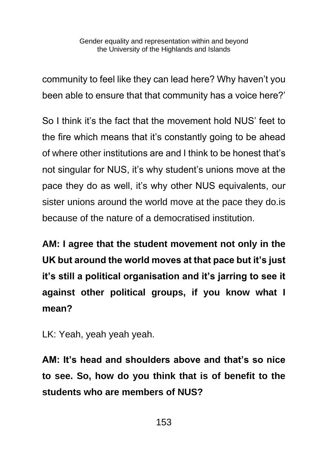community to feel like they can lead here? Why haven't you been able to ensure that that community has a voice here?'

So I think it's the fact that the movement hold NUS' feet to the fire which means that it's constantly going to be ahead of where other institutions are and I think to be honest that's not singular for NUS, it's why student's unions move at the pace they do as well, it's why other NUS equivalents, our sister unions around the world move at the pace they do.is because of the nature of a democratised institution.

**AM: I agree that the student movement not only in the UK but around the world moves at that pace but it's just it's still a political organisation and it's jarring to see it against other political groups, if you know what I mean?**

LK: Yeah, yeah yeah yeah.

**AM: It's head and shoulders above and that's so nice to see. So, how do you think that is of benefit to the students who are members of NUS?**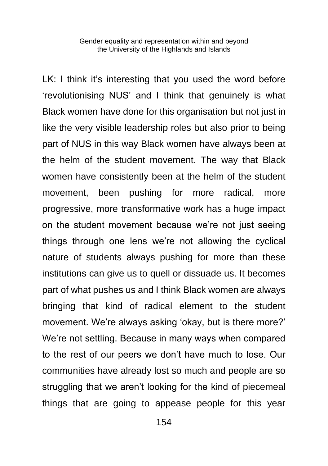LK: I think it's interesting that you used the word before 'revolutionising NUS' and I think that genuinely is what Black women have done for this organisation but not just in like the very visible leadership roles but also prior to being part of NUS in this way Black women have always been at the helm of the student movement. The way that Black women have consistently been at the helm of the student movement, been pushing for more radical, more progressive, more transformative work has a huge impact on the student movement because we're not just seeing things through one lens we're not allowing the cyclical nature of students always pushing for more than these institutions can give us to quell or dissuade us. It becomes part of what pushes us and I think Black women are always bringing that kind of radical element to the student movement. We're always asking 'okay, but is there more?' We're not settling. Because in many ways when compared to the rest of our peers we don't have much to lose. Our communities have already lost so much and people are so struggling that we aren't looking for the kind of piecemeal things that are going to appease people for this year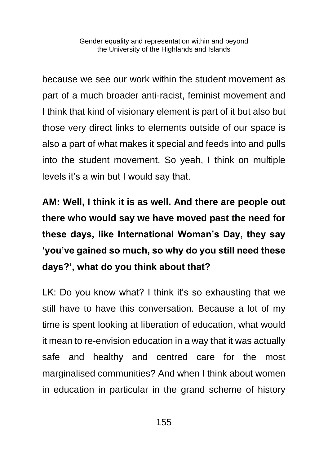because we see our work within the student movement as part of a much broader anti-racist, feminist movement and I think that kind of visionary element is part of it but also but those very direct links to elements outside of our space is also a part of what makes it special and feeds into and pulls into the student movement. So yeah, I think on multiple levels it's a win but I would say that.

**AM: Well, I think it is as well. And there are people out there who would say we have moved past the need for these days, like International Woman's Day, they say 'you've gained so much, so why do you still need these days?', what do you think about that?**

LK: Do you know what? I think it's so exhausting that we still have to have this conversation. Because a lot of my time is spent looking at liberation of education, what would it mean to re-envision education in a way that it was actually safe and healthy and centred care for the most marginalised communities? And when I think about women in education in particular in the grand scheme of history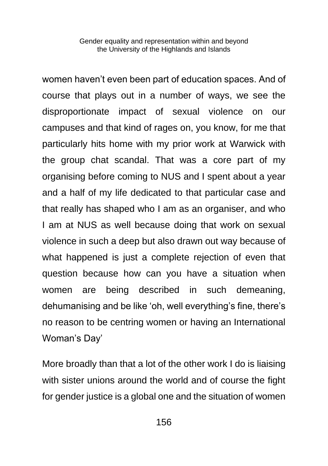women haven't even been part of education spaces. And of course that plays out in a number of ways, we see the disproportionate impact of sexual violence on our campuses and that kind of rages on, you know, for me that particularly hits home with my prior work at Warwick with the group chat scandal. That was a core part of my organising before coming to NUS and I spent about a year and a half of my life dedicated to that particular case and that really has shaped who I am as an organiser, and who I am at NUS as well because doing that work on sexual violence in such a deep but also drawn out way because of what happened is just a complete rejection of even that question because how can you have a situation when women are being described in such demeaning, dehumanising and be like 'oh, well everything's fine, there's no reason to be centring women or having an International Woman's Day'

More broadly than that a lot of the other work I do is liaising with sister unions around the world and of course the fight for gender justice is a global one and the situation of women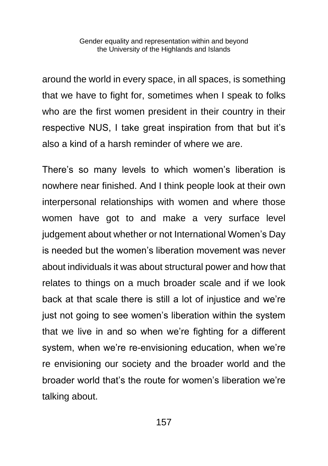around the world in every space, in all spaces, is something that we have to fight for, sometimes when I speak to folks who are the first women president in their country in their respective NUS, I take great inspiration from that but it's also a kind of a harsh reminder of where we are.

There's so many levels to which women's liberation is nowhere near finished. And I think people look at their own interpersonal relationships with women and where those women have got to and make a very surface level judgement about whether or not International Women's Day is needed but the women's liberation movement was never about individuals it was about structural power and how that relates to things on a much broader scale and if we look back at that scale there is still a lot of injustice and we're just not going to see women's liberation within the system that we live in and so when we're fighting for a different system, when we're re-envisioning education, when we're re envisioning our society and the broader world and the broader world that's the route for women's liberation we're talking about.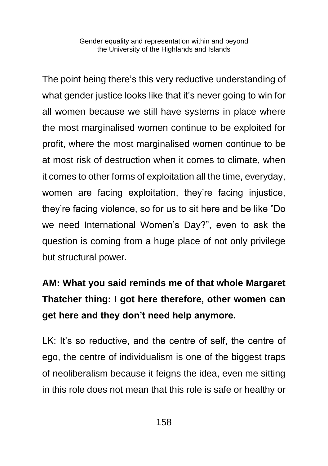The point being there's this very reductive understanding of what gender justice looks like that it's never going to win for all women because we still have systems in place where the most marginalised women continue to be exploited for profit, where the most marginalised women continue to be at most risk of destruction when it comes to climate, when it comes to other forms of exploitation all the time, everyday, women are facing exploitation, they're facing injustice, they're facing violence, so for us to sit here and be like "Do we need International Women's Day?", even to ask the question is coming from a huge place of not only privilege but structural power.

#### **AM: What you said reminds me of that whole Margaret Thatcher thing: I got here therefore, other women can get here and they don't need help anymore.**

LK: It's so reductive, and the centre of self, the centre of ego, the centre of individualism is one of the biggest traps of neoliberalism because it feigns the idea, even me sitting in this role does not mean that this role is safe or healthy or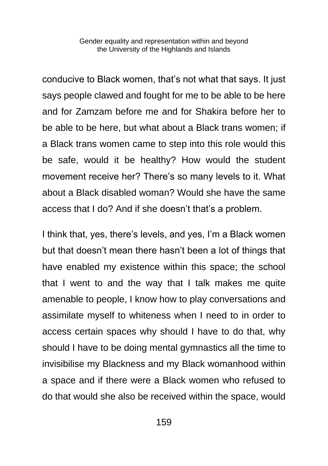conducive to Black women, that's not what that says. It just says people clawed and fought for me to be able to be here and for Zamzam before me and for Shakira before her to be able to be here, but what about a Black trans women; if a Black trans women came to step into this role would this be safe, would it be healthy? How would the student movement receive her? There's so many levels to it. What about a Black disabled woman? Would she have the same access that I do? And if she doesn't that's a problem.

I think that, yes, there's levels, and yes, I'm a Black women but that doesn't mean there hasn't been a lot of things that have enabled my existence within this space; the school that I went to and the way that I talk makes me quite amenable to people, I know how to play conversations and assimilate myself to whiteness when I need to in order to access certain spaces why should I have to do that, why should I have to be doing mental gymnastics all the time to invisibilise my Blackness and my Black womanhood within a space and if there were a Black women who refused to do that would she also be received within the space, would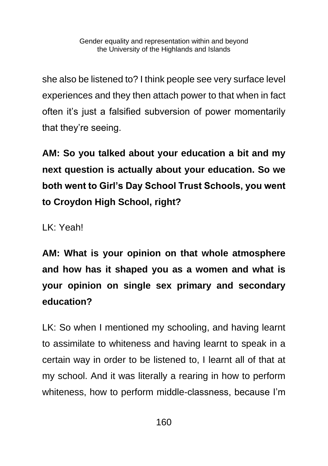she also be listened to? I think people see very surface level experiences and they then attach power to that when in fact often it's just a falsified subversion of power momentarily that they're seeing.

**AM: So you talked about your education a bit and my next question is actually about your education. So we both went to Girl's Day School Trust Schools, you went to Croydon High School, right?**

LK: Yeah!

**AM: What is your opinion on that whole atmosphere and how has it shaped you as a women and what is your opinion on single sex primary and secondary education?**

LK: So when I mentioned my schooling, and having learnt to assimilate to whiteness and having learnt to speak in a certain way in order to be listened to, I learnt all of that at my school. And it was literally a rearing in how to perform whiteness, how to perform middle-classness, because I'm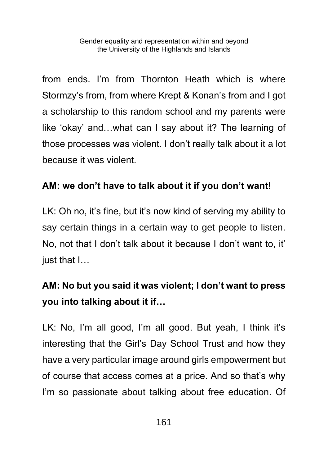from ends. I'm from Thornton Heath which is where Stormzy's from, from where Krept & Konan's from and I got a scholarship to this random school and my parents were like 'okay' and…what can I say about it? The learning of those processes was violent. I don't really talk about it a lot because it was violent.

#### **AM: we don't have to talk about it if you don't want!**

LK: Oh no, it's fine, but it's now kind of serving my ability to say certain things in a certain way to get people to listen. No, not that I don't talk about it because I don't want to, it' just that I…

#### **AM: No but you said it was violent; I don't want to press you into talking about it if…**

LK: No, I'm all good, I'm all good. But yeah, I think it's interesting that the Girl's Day School Trust and how they have a very particular image around girls empowerment but of course that access comes at a price. And so that's why I'm so passionate about talking about free education. Of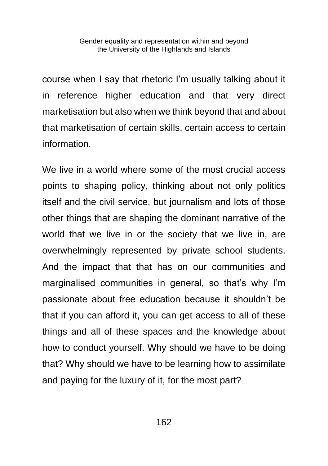course when I say that rhetoric I'm usually talking about it in reference higher education and that very direct marketisation but also when we think beyond that and about that marketisation of certain skills, certain access to certain information.

We live in a world where some of the most crucial access points to shaping policy, thinking about not only politics itself and the civil service, but journalism and lots of those other things that are shaping the dominant narrative of the world that we live in or the society that we live in, are overwhelmingly represented by private school students. And the impact that that has on our communities and marginalised communities in general, so that's why I'm passionate about free education because it shouldn't be that if you can afford it, you can get access to all of these things and all of these spaces and the knowledge about how to conduct yourself. Why should we have to be doing that? Why should we have to be learning how to assimilate and paying for the luxury of it, for the most part?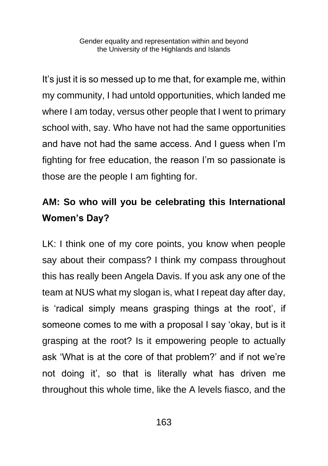It's just it is so messed up to me that, for example me, within my community, I had untold opportunities, which landed me where I am today, versus other people that I went to primary school with, say. Who have not had the same opportunities and have not had the same access. And I guess when I'm fighting for free education, the reason I'm so passionate is those are the people I am fighting for.

#### **AM: So who will you be celebrating this International Women's Day?**

LK: I think one of my core points, you know when people say about their compass? I think my compass throughout this has really been Angela Davis. If you ask any one of the team at NUS what my slogan is, what I repeat day after day, is 'radical simply means grasping things at the root', if someone comes to me with a proposal I say 'okay, but is it grasping at the root? Is it empowering people to actually ask 'What is at the core of that problem?' and if not we're not doing it', so that is literally what has driven me throughout this whole time, like the A levels fiasco, and the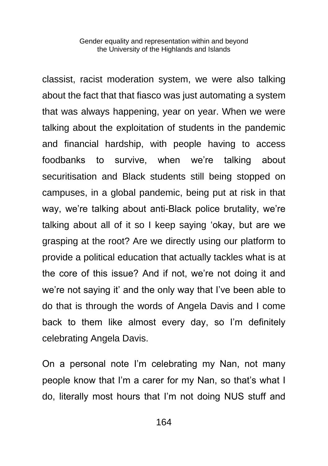classist, racist moderation system, we were also talking about the fact that that fiasco was just automating a system that was always happening, year on year. When we were talking about the exploitation of students in the pandemic and financial hardship, with people having to access foodbanks to survive, when we're talking about securitisation and Black students still being stopped on campuses, in a global pandemic, being put at risk in that way, we're talking about anti-Black police brutality, we're talking about all of it so I keep saying 'okay, but are we grasping at the root? Are we directly using our platform to provide a political education that actually tackles what is at the core of this issue? And if not, we're not doing it and we're not saying it' and the only way that I've been able to do that is through the words of Angela Davis and I come back to them like almost every day, so I'm definitely celebrating Angela Davis.

On a personal note I'm celebrating my Nan, not many people know that I'm a carer for my Nan, so that's what I do, literally most hours that I'm not doing NUS stuff and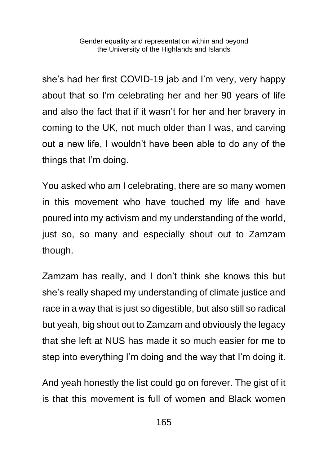she's had her first COVID-19 jab and I'm very, very happy about that so I'm celebrating her and her 90 years of life and also the fact that if it wasn't for her and her bravery in coming to the UK, not much older than I was, and carving out a new life, I wouldn't have been able to do any of the things that I'm doing.

You asked who am I celebrating, there are so many women in this movement who have touched my life and have poured into my activism and my understanding of the world, just so, so many and especially shout out to Zamzam though.

Zamzam has really, and I don't think she knows this but she's really shaped my understanding of climate justice and race in a way that is just so digestible, but also still so radical but yeah, big shout out to Zamzam and obviously the legacy that she left at NUS has made it so much easier for me to step into everything I'm doing and the way that I'm doing it.

And yeah honestly the list could go on forever. The gist of it is that this movement is full of women and Black women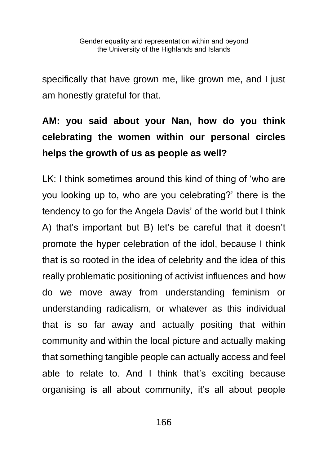specifically that have grown me, like grown me, and I just am honestly grateful for that.

#### **AM: you said about your Nan, how do you think celebrating the women within our personal circles helps the growth of us as people as well?**

LK: I think sometimes around this kind of thing of 'who are you looking up to, who are you celebrating?' there is the tendency to go for the Angela Davis' of the world but I think A) that's important but B) let's be careful that it doesn't promote the hyper celebration of the idol, because I think that is so rooted in the idea of celebrity and the idea of this really problematic positioning of activist influences and how do we move away from understanding feminism or understanding radicalism, or whatever as this individual that is so far away and actually positing that within community and within the local picture and actually making that something tangible people can actually access and feel able to relate to. And I think that's exciting because organising is all about community, it's all about people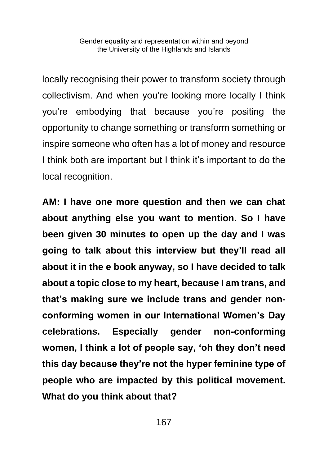locally recognising their power to transform society through collectivism. And when you're looking more locally I think you're embodying that because you're positing the opportunity to change something or transform something or inspire someone who often has a lot of money and resource I think both are important but I think it's important to do the local recognition.

**AM: I have one more question and then we can chat about anything else you want to mention. So I have been given 30 minutes to open up the day and I was going to talk about this interview but they'll read all about it in the e book anyway, so I have decided to talk about a topic close to my heart, because I am trans, and that's making sure we include trans and gender nonconforming women in our International Women's Day celebrations. Especially gender non-conforming women, I think a lot of people say, 'oh they don't need this day because they're not the hyper feminine type of people who are impacted by this political movement. What do you think about that?**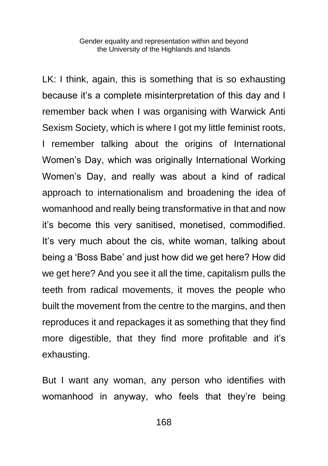LK: I think, again, this is something that is so exhausting because it's a complete misinterpretation of this day and I remember back when I was organising with Warwick Anti Sexism Society, which is where I got my little feminist roots, I remember talking about the origins of International Women's Day, which was originally International Working Women's Day, and really was about a kind of radical approach to internationalism and broadening the idea of womanhood and really being transformative in that and now it's become this very sanitised, monetised, commodified. It's very much about the cis, white woman, talking about being a 'Boss Babe' and just how did we get here? How did we get here? And you see it all the time, capitalism pulls the teeth from radical movements, it moves the people who built the movement from the centre to the margins, and then reproduces it and repackages it as something that they find more digestible, that they find more profitable and it's exhausting.

But I want any woman, any person who identifies with womanhood in anyway, who feels that they're being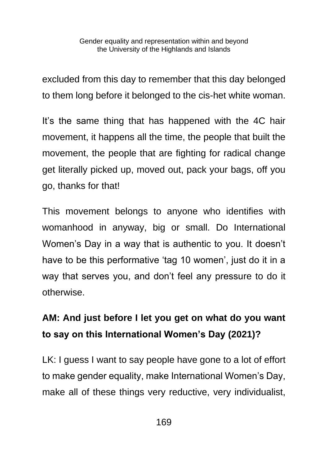excluded from this day to remember that this day belonged to them long before it belonged to the cis-het white woman.

It's the same thing that has happened with the 4C hair movement, it happens all the time, the people that built the movement, the people that are fighting for radical change get literally picked up, moved out, pack your bags, off you go, thanks for that!

This movement belongs to anyone who identifies with womanhood in anyway, big or small. Do International Women's Day in a way that is authentic to you. It doesn't have to be this performative 'tag 10 women', just do it in a way that serves you, and don't feel any pressure to do it otherwise.

#### **AM: And just before I let you get on what do you want to say on this International Women's Day (2021)?**

LK: I guess I want to say people have gone to a lot of effort to make gender equality, make International Women's Day, make all of these things very reductive, very individualist,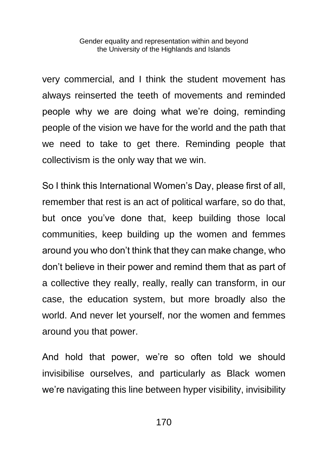very commercial, and I think the student movement has always reinserted the teeth of movements and reminded people why we are doing what we're doing, reminding people of the vision we have for the world and the path that we need to take to get there. Reminding people that collectivism is the only way that we win.

So I think this International Women's Day, please first of all, remember that rest is an act of political warfare, so do that, but once you've done that, keep building those local communities, keep building up the women and femmes around you who don't think that they can make change, who don't believe in their power and remind them that as part of a collective they really, really, really can transform, in our case, the education system, but more broadly also the world. And never let yourself, nor the women and femmes around you that power.

And hold that power, we're so often told we should invisibilise ourselves, and particularly as Black women we're navigating this line between hyper visibility, invisibility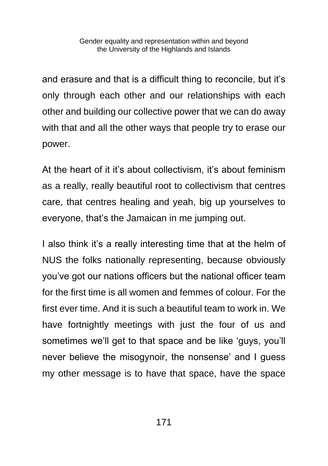and erasure and that is a difficult thing to reconcile, but it's only through each other and our relationships with each other and building our collective power that we can do away with that and all the other ways that people try to erase our power.

At the heart of it it's about collectivism, it's about feminism as a really, really beautiful root to collectivism that centres care, that centres healing and yeah, big up yourselves to everyone, that's the Jamaican in me jumping out.

I also think it's a really interesting time that at the helm of NUS the folks nationally representing, because obviously you've got our nations officers but the national officer team for the first time is all women and femmes of colour. For the first ever time. And it is such a beautiful team to work in. We have fortnightly meetings with just the four of us and sometimes we'll get to that space and be like 'guys, you'll never believe the misogynoir, the nonsense' and I guess my other message is to have that space, have the space